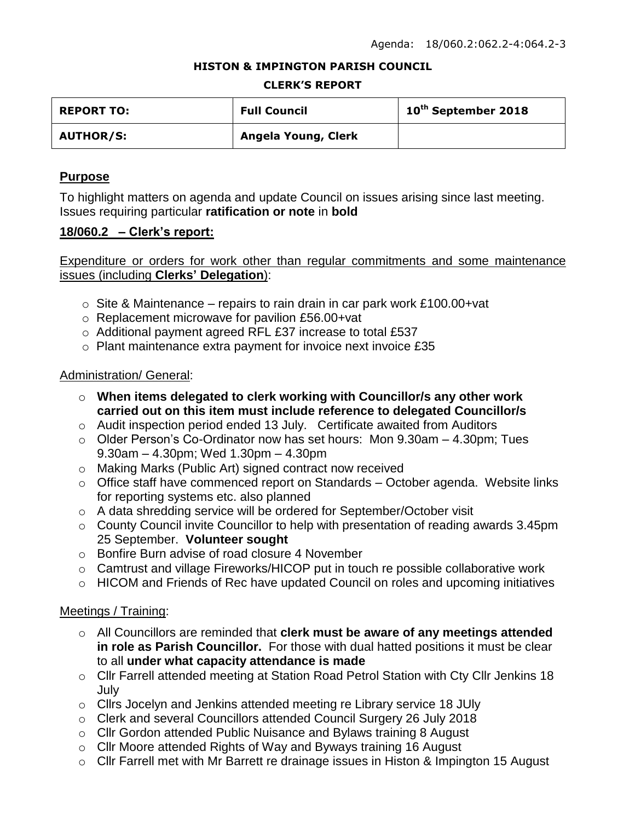#### **HISTON & IMPINGTON PARISH COUNCIL**

#### **CLERK'S REPORT**

| <b>REPORT TO:</b> | <b>Full Council</b> | 10 <sup>th</sup> September 2018 |
|-------------------|---------------------|---------------------------------|
| <b>AUTHOR/S:</b>  | Angela Young, Clerk |                                 |

### **Purpose**

To highlight matters on agenda and update Council on issues arising since last meeting. Issues requiring particular **ratification or note** in **bold**

#### **18/060.2 – Clerk's report:**

Expenditure or orders for work other than regular commitments and some maintenance issues (including **Clerks' Delegation**):

- $\circ$  Site & Maintenance repairs to rain drain in car park work £100.00+vat
- o Replacement microwave for pavilion £56.00+vat
- o Additional payment agreed RFL £37 increase to total £537
- o Plant maintenance extra payment for invoice next invoice £35

#### Administration/ General:

- o **When items delegated to clerk working with Councillor/s any other work carried out on this item must include reference to delegated Councillor/s**
- o Audit inspection period ended 13 July. Certificate awaited from Auditors
- o Older Person's Co-Ordinator now has set hours: Mon 9.30am 4.30pm; Tues 9.30am – 4.30pm; Wed 1.30pm – 4.30pm
- o Making Marks (Public Art) signed contract now received
- o Office staff have commenced report on Standards October agenda. Website links for reporting systems etc. also planned
- o A data shredding service will be ordered for September/October visit
- o County Council invite Councillor to help with presentation of reading awards 3.45pm 25 September. **Volunteer sought**
- o Bonfire Burn advise of road closure 4 November
- o Camtrust and village Fireworks/HICOP put in touch re possible collaborative work
- o HICOM and Friends of Rec have updated Council on roles and upcoming initiatives

#### Meetings / Training:

- o All Councillors are reminded that **clerk must be aware of any meetings attended in role as Parish Councillor.** For those with dual hatted positions it must be clear to all **under what capacity attendance is made**
- o Cllr Farrell attended meeting at Station Road Petrol Station with Cty Cllr Jenkins 18 July
- o Cllrs Jocelyn and Jenkins attended meeting re Library service 18 JUly
- o Clerk and several Councillors attended Council Surgery 26 July 2018
- o Cllr Gordon attended Public Nuisance and Bylaws training 8 August
- o Cllr Moore attended Rights of Way and Byways training 16 August
- o Cllr Farrell met with Mr Barrett re drainage issues in Histon & Impington 15 August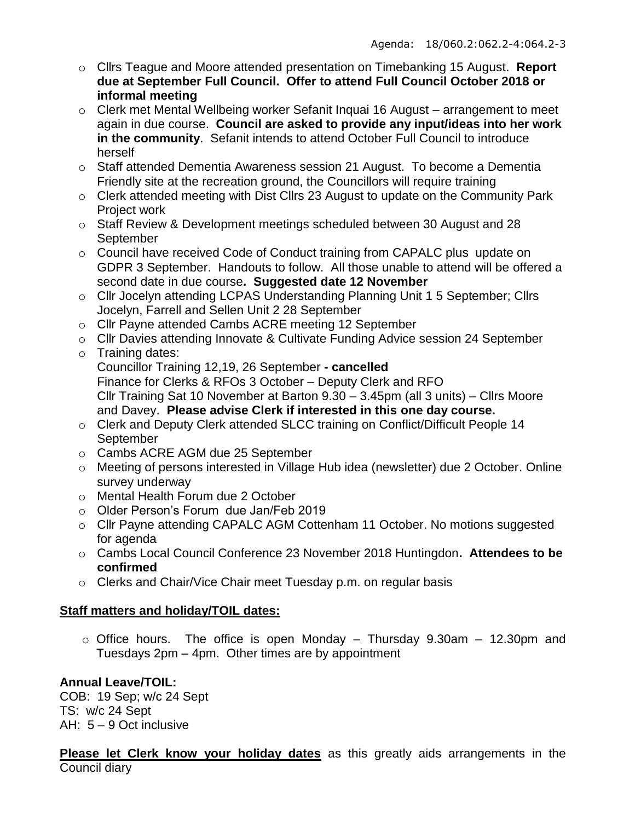- o Cllrs Teague and Moore attended presentation on Timebanking 15 August. **Report due at September Full Council. Offer to attend Full Council October 2018 or informal meeting**
- o Clerk met Mental Wellbeing worker Sefanit Inquai 16 August arrangement to meet again in due course. **Council are asked to provide any input/ideas into her work in the community**. Sefanit intends to attend October Full Council to introduce herself
- $\circ$  Staff attended Dementia Awareness session 21 August. To become a Dementia Friendly site at the recreation ground, the Councillors will require training
- o Clerk attended meeting with Dist Cllrs 23 August to update on the Community Park Project work
- o Staff Review & Development meetings scheduled between 30 August and 28 **September**
- o Council have received Code of Conduct training from CAPALC plus update on GDPR 3 September. Handouts to follow. All those unable to attend will be offered a second date in due course**. Suggested date 12 November**
- o Cllr Jocelyn attending LCPAS Understanding Planning Unit 1 5 September; Cllrs Jocelyn, Farrell and Sellen Unit 2 28 September
- o Cllr Payne attended Cambs ACRE meeting 12 September
- o Cllr Davies attending Innovate & Cultivate Funding Advice session 24 September
- o Training dates: Councillor Training 12,19, 26 September **- cancelled** Finance for Clerks & RFOs 3 October – Deputy Clerk and RFO Cllr Training Sat 10 November at Barton 9.30 – 3.45pm (all 3 units) – Cllrs Moore and Davey. **Please advise Clerk if interested in this one day course.**
- o Clerk and Deputy Clerk attended SLCC training on Conflict/Difficult People 14 September
- o Cambs ACRE AGM due 25 September
- o Meeting of persons interested in Village Hub idea (newsletter) due 2 October. Online survey underway
- o Mental Health Forum due 2 October
- o Older Person's Forum due Jan/Feb 2019
- o Cllr Payne attending CAPALC AGM Cottenham 11 October. No motions suggested for agenda
- o Cambs Local Council Conference 23 November 2018 Huntingdon**. Attendees to be confirmed**
- o Clerks and Chair/Vice Chair meet Tuesday p.m. on regular basis

# **Staff matters and holiday/TOIL dates:**

 $\circ$  Office hours. The office is open Monday – Thursday 9.30am – 12.30pm and Tuesdays 2pm – 4pm. Other times are by appointment

# **Annual Leave/TOIL:**

COB: 19 Sep; w/c 24 Sept TS: w/c 24 Sept AH: 5 – 9 Oct inclusive

**Please let Clerk know your holiday dates** as this greatly aids arrangements in the Council diary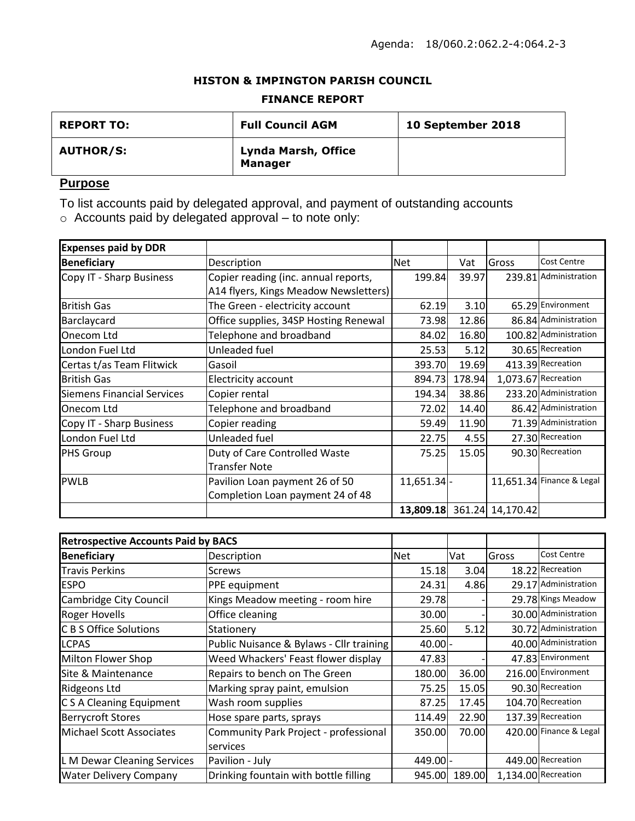### **HISTON & IMPINGTON PARISH COUNCIL**

#### **FINANCE REPORT**

| <b>REPORT TO:</b> | <b>Full Council AGM</b>               | 10 September 2018 |
|-------------------|---------------------------------------|-------------------|
| <b>AUTHOR/S:</b>  | Lynda Marsh, Office<br><b>Manager</b> |                   |

## **Purpose**

To list accounts paid by delegated approval, and payment of outstanding accounts

 $\circ$  Accounts paid by delegated approval – to note only:

| <b>Expenses paid by DDR</b>       |                                       |               |        |                            |                           |
|-----------------------------------|---------------------------------------|---------------|--------|----------------------------|---------------------------|
| <b>Beneficiary</b>                | Description                           | Net           | Vat    | Gross                      | <b>Cost Centre</b>        |
| Copy IT - Sharp Business          | Copier reading (inc. annual reports,  | 199.84        | 39.97  |                            | 239.81 Administration     |
|                                   | A14 flyers, Kings Meadow Newsletters) |               |        |                            |                           |
| <b>British Gas</b>                | The Green - electricity account       | 62.19         | 3.10   |                            | 65.29 Environment         |
| Barclaycard                       | Office supplies, 34SP Hosting Renewal | 73.98         | 12.86  |                            | 86.84 Administration      |
| Onecom Ltd                        | Telephone and broadband               | 84.02         | 16.80  |                            | 100.82 Administration     |
| London Fuel Ltd                   | Unleaded fuel                         | 25.53         | 5.12   |                            | 30.65 Recreation          |
| Certas t/as Team Flitwick         | Gasoil                                | 393.70        | 19.69  |                            | 413.39 Recreation         |
| <b>British Gas</b>                | Electricity account                   | 894.73        | 178.94 |                            | 1,073.67 Recreation       |
| <b>Siemens Financial Services</b> | Copier rental                         | 194.34        | 38.86  |                            | 233.20 Administration     |
| Onecom Ltd                        | Telephone and broadband               | 72.02         | 14.40  |                            | 86.42 Administration      |
| Copy IT - Sharp Business          | Copier reading                        | 59.49         | 11.90  |                            | 71.39 Administration      |
| London Fuel Ltd                   | Unleaded fuel                         | 22.75         | 4.55   |                            | 27.30 Recreation          |
| <b>PHS Group</b>                  | Duty of Care Controlled Waste         | 75.25         | 15.05  |                            | 90.30 Recreation          |
|                                   | <b>Transfer Note</b>                  |               |        |                            |                           |
| <b>PWLB</b>                       | Pavilion Loan payment 26 of 50        | $11,651.34$ - |        |                            | 11,651.34 Finance & Legal |
|                                   | Completion Loan payment 24 of 48      |               |        |                            |                           |
|                                   |                                       |               |        | 13,809.18 361.24 14,170.42 |                           |

| <b>Retrospective Accounts Paid by BACS</b> |                                          |            |        |       |                        |
|--------------------------------------------|------------------------------------------|------------|--------|-------|------------------------|
| <b>Beneficiary</b>                         | Description                              | <b>Net</b> | Vat    | Gross | <b>Cost Centre</b>     |
| <b>Travis Perkins</b>                      | <b>Screws</b>                            | 15.18      | 3.04   |       | 18.22 Recreation       |
| <b>ESPO</b>                                | PPE equipment                            | 24.31      | 4.86   |       | 29.17 Administration   |
| <b>Cambridge City Council</b>              | Kings Meadow meeting - room hire         | 29.78      |        |       | 29.78 Kings Meadow     |
| <b>Roger Hovells</b>                       | Office cleaning                          | 30.00      |        |       | 30.00 Administration   |
| <b>C B S Office Solutions</b>              | Stationery                               | 25.60      | 5.12   |       | 30.72 Administration   |
| <b>LCPAS</b>                               | Public Nuisance & Bylaws - Cllr training | $40.00$ -  |        |       | 40.00 Administration   |
| Milton Flower Shop                         | Weed Whackers' Feast flower display      | 47.83      |        |       | 47.83 Environment      |
| Site & Maintenance                         | Repairs to bench on The Green            | 180.00     | 36.00  |       | 216.00 Environment     |
| <b>Ridgeons Ltd</b>                        | Marking spray paint, emulsion            | 75.25      | 15.05  |       | 90.30 Recreation       |
| C S A Cleaning Equipment                   | Wash room supplies                       | 87.25      | 17.45  |       | 104.70 Recreation      |
| <b>Berrycroft Stores</b>                   | Hose spare parts, sprays                 | 114.49     | 22.90  |       | 137.39 Recreation      |
| Michael Scott Associates                   | Community Park Project - professional    | 350.00     | 70.00  |       | 420.00 Finance & Legal |
|                                            | services                                 |            |        |       |                        |
| L M Dewar Cleaning Services                | Pavilion - July                          | 449.00 -   |        |       | 449.00 Recreation      |
| <b>Water Delivery Company</b>              | Drinking fountain with bottle filling    | 945.00     | 189.00 |       | 1,134.00 Recreation    |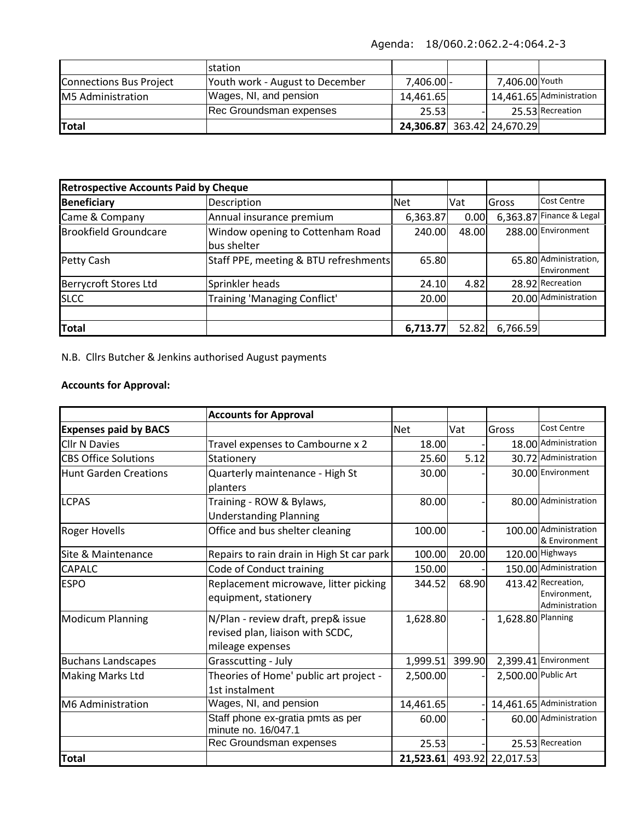Agenda: 18/060.2:062.2-4:064.2-3

|                         | <b>Istation</b>                 |            |                            |                          |
|-------------------------|---------------------------------|------------|----------------------------|--------------------------|
| Connections Bus Project | Youth work - August to December | 7,406.00 - | 7,406.00 Youth             |                          |
| M5 Administration       | Wages, NI, and pension          | 14,461.65  |                            | 14,461.65 Administration |
|                         | Rec Groundsman expenses         | 25.53      |                            | 25.53 Recreation         |
| <b>ITotal</b>           |                                 |            | 24,306.87 363.42 24,670.29 |                          |

| <b>Retrospective Accounts Paid by Cheque</b> |                                                 |            |       |          |                                      |
|----------------------------------------------|-------------------------------------------------|------------|-------|----------|--------------------------------------|
| <b>Beneficiary</b>                           | Description                                     | <b>Net</b> | Vat   | Gross    | <b>Cost Centre</b>                   |
| Came & Company                               | Annual insurance premium                        | 6,363.87   | 0.00  |          | 6,363.87 Finance & Legal             |
| <b>Brookfield Groundcare</b>                 | Window opening to Cottenham Road<br>bus shelter | 240.00     | 48.00 |          | 288.00 Environment                   |
| Petty Cash                                   | Staff PPE, meeting & BTU refreshments           | 65.80      |       |          | 65.80 Administration,<br>Environment |
| <b>Berrycroft Stores Ltd</b>                 | Sprinkler heads                                 | 24.10      | 4.82  |          | 28.92 Recreation                     |
| <b>SLCC</b>                                  | Training 'Managing Conflict'                    | 20.00      |       |          | 20.00 Administration                 |
|                                              |                                                 |            |       |          |                                      |
| <b>Total</b>                                 |                                                 | 6,713.77   | 52.82 | 6,766.59 |                                      |

N.B. Cllrs Butcher & Jenkins authorised August payments

## **Accounts for Approval:**

|                              | <b>Accounts for Approval</b>                                                               |            |        |                            |                                                      |
|------------------------------|--------------------------------------------------------------------------------------------|------------|--------|----------------------------|------------------------------------------------------|
| <b>Expenses paid by BACS</b> |                                                                                            | <b>Net</b> | Vat    | Gross                      | <b>Cost Centre</b>                                   |
| <b>Cllr N Davies</b>         | Travel expenses to Cambourne x 2                                                           | 18.00      |        |                            | 18.00 Administration                                 |
| <b>CBS Office Solutions</b>  | Stationery                                                                                 | 25.60      | 5.12   |                            | 30.72 Administration                                 |
| <b>Hunt Garden Creations</b> | Quarterly maintenance - High St<br>planters                                                | 30.00      |        |                            | 30.00 Environment                                    |
| <b>LCPAS</b>                 | Training - ROW & Bylaws,<br><b>Understanding Planning</b>                                  | 80.00      |        |                            | 80.00 Administration                                 |
| <b>Roger Hovells</b>         | Office and bus shelter cleaning                                                            | 100.00     |        |                            | 100.00 Administration<br>& Environment               |
| Site & Maintenance           | Repairs to rain drain in High St car park                                                  | 100.00     | 20.00  |                            | 120.00 Highways                                      |
| <b>CAPALC</b>                | Code of Conduct training                                                                   | 150.00     |        |                            | 150.00 Administration                                |
| <b>ESPO</b>                  | Replacement microwave, litter picking<br>equipment, stationery                             | 344.52     | 68.90  |                            | 413.42 Recreation,<br>Environment,<br>Administration |
| <b>Modicum Planning</b>      | N/Plan - review draft, prep& issue<br>revised plan, liaison with SCDC,<br>mileage expenses | 1,628.80   |        | 1,628.80 Planning          |                                                      |
| <b>Buchans Landscapes</b>    | Grasscutting - July                                                                        | 1,999.51   | 399.90 |                            | 2,399.41 Environment                                 |
| <b>Making Marks Ltd</b>      | Theories of Home' public art project -<br>1st instalment                                   | 2,500.00   |        | 2,500.00 Public Art        |                                                      |
| <b>M6 Administration</b>     | Wages, NI, and pension                                                                     | 14,461.65  |        |                            | 14,461.65 Administration                             |
|                              | Staff phone ex-gratia pmts as per<br>minute no. 16/047.1                                   | 60.00      |        |                            | 60.00 Administration                                 |
|                              | Rec Groundsman expenses                                                                    | 25.53      |        |                            | 25.53 Recreation                                     |
| <b>Total</b>                 |                                                                                            |            |        | 21,523.61 493.92 22,017.53 |                                                      |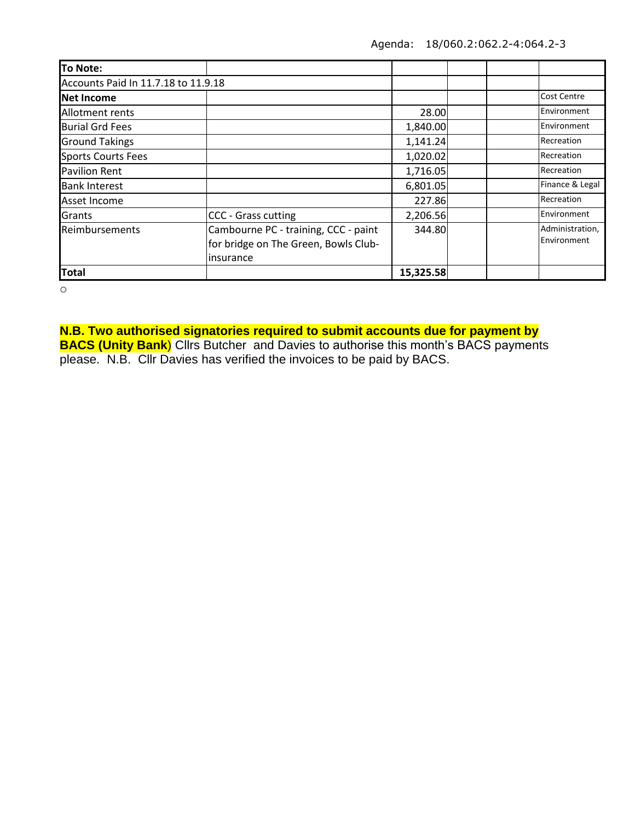| To Note:                            |                                                                                           |           |  |                                |  |
|-------------------------------------|-------------------------------------------------------------------------------------------|-----------|--|--------------------------------|--|
| Accounts Paid In 11.7.18 to 11.9.18 |                                                                                           |           |  |                                |  |
| Net Income                          |                                                                                           |           |  | <b>Cost Centre</b>             |  |
| Allotment rents                     |                                                                                           | 28.00     |  | Environment                    |  |
| <b>Burial Grd Fees</b>              |                                                                                           | 1,840.00  |  | Environment                    |  |
| <b>Ground Takings</b>               |                                                                                           | 1,141.24  |  | Recreation                     |  |
| <b>Sports Courts Fees</b>           |                                                                                           | 1,020.02  |  | Recreation                     |  |
| <b>Pavilion Rent</b>                |                                                                                           | 1,716.05  |  | Recreation                     |  |
| <b>Bank Interest</b>                |                                                                                           | 6,801.05  |  | Finance & Legal                |  |
| Asset Income                        |                                                                                           | 227.86    |  | Recreation                     |  |
| Grants                              | CCC - Grass cutting                                                                       | 2,206.56  |  | Environment                    |  |
| Reimbursements                      | Cambourne PC - training, CCC - paint<br>for bridge on The Green, Bowls Club-<br>insurance | 344.80    |  | Administration,<br>Environment |  |
| <b>Total</b>                        |                                                                                           | 15,325.58 |  |                                |  |

o

**N.B. Two authorised signatories required to submit accounts due for payment by BACS (Unity Bank**) Cllrs Butcher and Davies to authorise this month's BACS payments

please. N.B. Cllr Davies has verified the invoices to be paid by BACS.